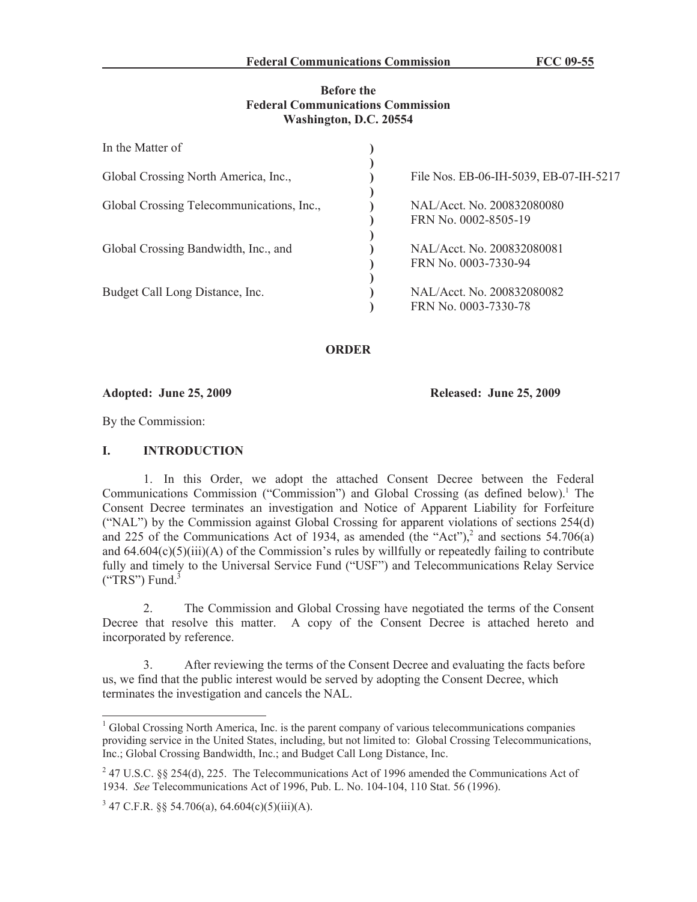## **Before the Federal Communications Commission Washington, D.C. 20554**

| In the Matter of                          |                                                    |
|-------------------------------------------|----------------------------------------------------|
| Global Crossing North America, Inc.,      | File Nos. EB-06-IH-5039, EB-07-IH-5217             |
| Global Crossing Telecommunications, Inc., | NAL/Acct. No. 200832080080<br>FRN No. 0002-8505-19 |
| Global Crossing Bandwidth, Inc., and      | NAL/Acct. No. 200832080081<br>FRN No. 0003-7330-94 |
| Budget Call Long Distance, Inc.           | NAL/Acct. No. 200832080082<br>FRN No. 0003-7330-78 |

**ORDER**

**Adopted: June 25, 2009 Released: June 25, 2009**

By the Commission:

### **I. INTRODUCTION**

1. In this Order, we adopt the attached Consent Decree between the Federal Communications Commission ("Commission") and Global Crossing (as defined below).<sup>1</sup> The Consent Decree terminates an investigation and Notice of Apparent Liability for Forfeiture ("NAL") by the Commission against Global Crossing for apparent violations of sections 254(d) and 225 of the Communications Act of 1934, as amended (the "Act"),<sup>2</sup> and sections 54.706(a) and  $64.604(c)(5)(iii)(A)$  of the Commission's rules by willfully or repeatedly failing to contribute fully and timely to the Universal Service Fund ("USF") and Telecommunications Relay Service  $("TRS")$  Fund.<sup>3</sup>

2. The Commission and Global Crossing have negotiated the terms of the Consent Decree that resolve this matter. A copy of the Consent Decree is attached hereto and incorporated by reference.

3. After reviewing the terms of the Consent Decree and evaluating the facts before us, we find that the public interest would be served by adopting the Consent Decree, which terminates the investigation and cancels the NAL.

 $<sup>1</sup>$  Global Crossing North America, Inc. is the parent company of various telecommunications companies</sup> providing service in the United States, including, but not limited to: Global Crossing Telecommunications, Inc.; Global Crossing Bandwidth, Inc.; and Budget Call Long Distance, Inc.

 $247$  U.S.C. §§ 254(d), 225. The Telecommunications Act of 1996 amended the Communications Act of 1934. *See* Telecommunications Act of 1996, Pub. L. No. 104-104, 110 Stat. 56 (1996).

 $3^3$  47 C.F.R. §§ 54.706(a), 64.604(c)(5)(iii)(A).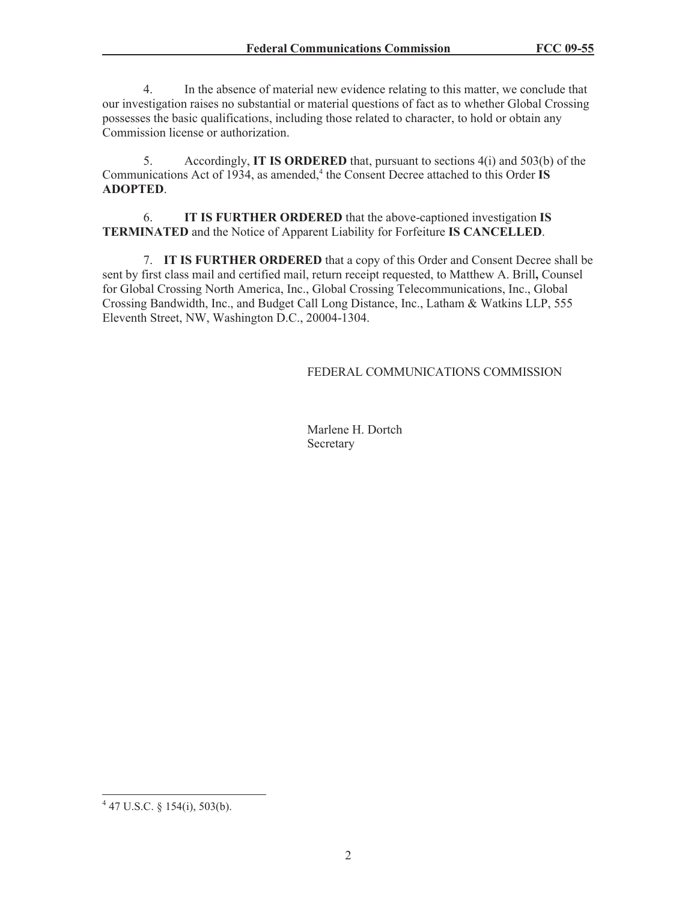4. In the absence of material new evidence relating to this matter, we conclude that our investigation raises no substantial or material questions of fact as to whether Global Crossing possesses the basic qualifications, including those related to character, to hold or obtain any Commission license or authorization.

5. Accordingly, **IT IS ORDERED** that, pursuant to sections 4(i) and 503(b) of the Communications Act of 1934, as amended,<sup>4</sup> the Consent Decree attached to this Order IS **ADOPTED**.

6. **IT IS FURTHER ORDERED** that the above-captioned investigation **IS TERMINATED** and the Notice of Apparent Liability for Forfeiture **IS CANCELLED**.

7. **IT IS FURTHER ORDERED** that a copy of this Order and Consent Decree shall be sent by first class mail and certified mail, return receipt requested, to Matthew A. Brill**,** Counsel for Global Crossing North America, Inc., Global Crossing Telecommunications, Inc., Global Crossing Bandwidth, Inc., and Budget Call Long Distance, Inc., Latham & Watkins LLP, 555 Eleventh Street, NW, Washington D.C., 20004-1304.

# FEDERAL COMMUNICATIONS COMMISSION

Marlene H. Dortch Secretary

 $4$  47 U.S.C. § 154(i), 503(b).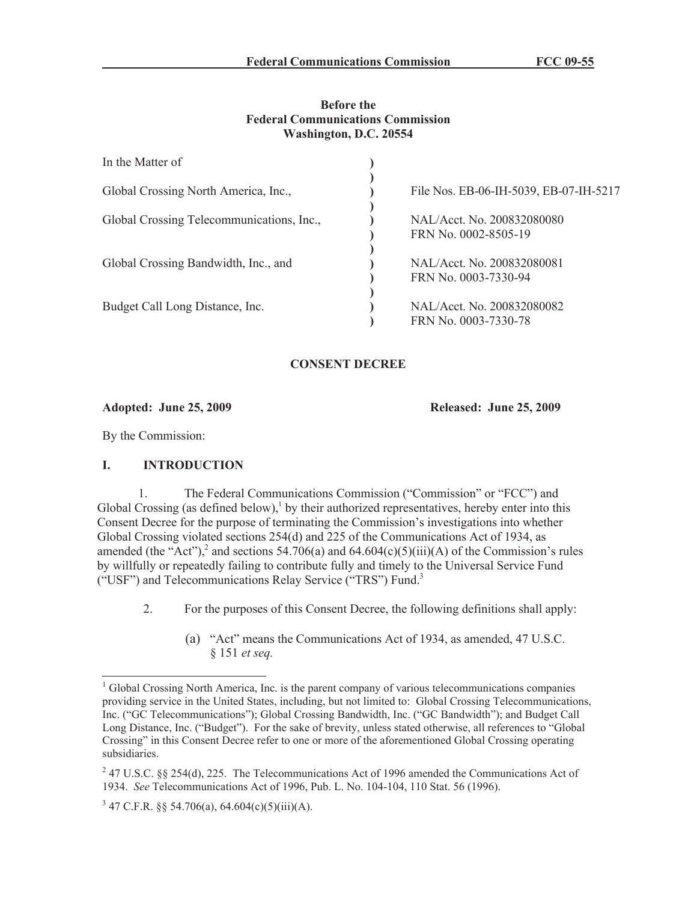### **Before the Federal Communications Commission Washington, D.C. 20554**

| In the Matter of                          |                                                    |
|-------------------------------------------|----------------------------------------------------|
| Global Crossing North America, Inc.,      | File Nos. EB-06-IH-5039, EB-07-IH-5217             |
| Global Crossing Telecommunications, Inc., | NAL/Acct. No. 200832080080<br>FRN No. 0002-8505-19 |
| Global Crossing Bandwidth, Inc., and      | NAL/Acct. No. 200832080081<br>FRN No. 0003-7330-94 |
| Budget Call Long Distance, Inc.           | NAL/Acct. No. 200832080082<br>FRN No. 0003-7330-78 |

## **CONSENT DECREE**

#### **Adopted: June 25, 2009 Released: June 25, 2009**

By the Commission:

# **I. INTRODUCTION**

1. The Federal Communications Commission ("Commission" or "FCC") and Global Crossing (as defined below),<sup>1</sup> by their authorized representatives, hereby enter into this Consent Decree for the purpose of terminating the Commission's investigations into whether Global Crossing violated sections 254(d) and 225 of the Communications Act of 1934, as amended (the "Act"),<sup>2</sup> and sections 54.706(a) and 64.604(c)(5)(iii)(A) of the Commission's rules by willfully or repeatedly failing to contribute fully and timely to the Universal Service Fund ("USF") and Telecommunications Relay Service ("TRS") Fund.<sup>3</sup>

- 2. For the purposes of this Consent Decree, the following definitions shall apply:
	- (a) "Act" means the Communications Act of 1934, as amended, 47 U.S.C. § 151 *et seq.*

<sup>&</sup>lt;sup>1</sup> Global Crossing North America, Inc. is the parent company of various telecommunications companies providing service in the United States, including, but not limited to: Global Crossing Telecommunications, Inc. ("GC Telecommunications"); Global Crossing Bandwidth, Inc. ("GC Bandwidth"); and Budget Call Long Distance, Inc. ("Budget"). For the sake of brevity, unless stated otherwise, all references to "Global Crossing" in this Consent Decree refer to one or more of the aforementioned Global Crossing operating subsidiaries.

 $247$  U.S.C. §§ 254(d), 225. The Telecommunications Act of 1996 amended the Communications Act of 1934. *See* Telecommunications Act of 1996, Pub. L. No. 104-104, 110 Stat. 56 (1996).

 $3^3$  47 C.F.R. §§ 54.706(a), 64.604(c)(5)(iii)(A).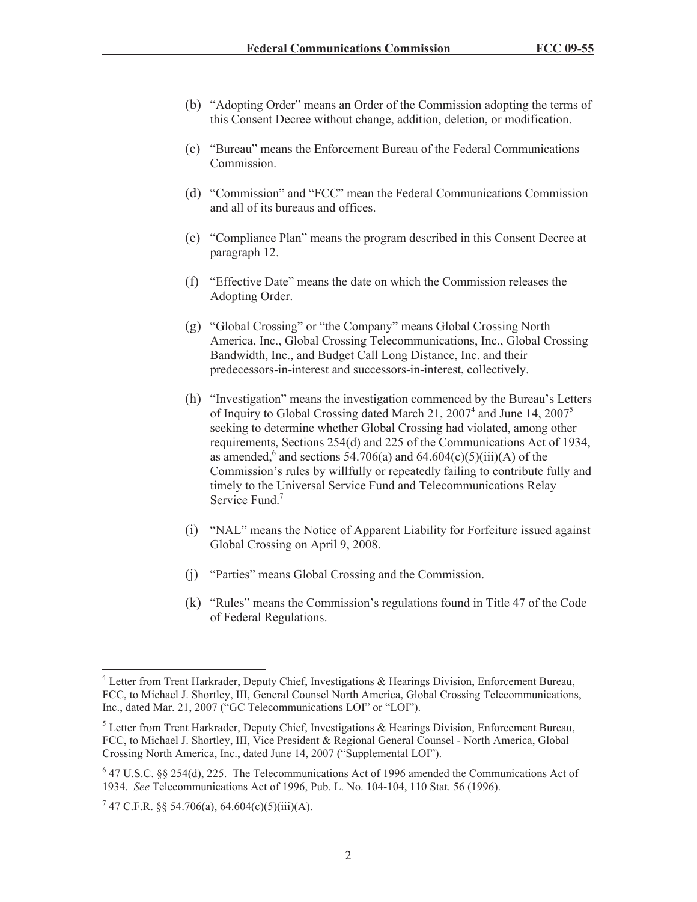- (b) "Adopting Order" means an Order of the Commission adopting the terms of this Consent Decree without change, addition, deletion, or modification.
- (c) "Bureau" means the Enforcement Bureau of the Federal Communications Commission.
- (d) "Commission" and "FCC" mean the Federal Communications Commission and all of its bureaus and offices.
- (e) "Compliance Plan" means the program described in this Consent Decree at paragraph 12.
- (f) "Effective Date" means the date on which the Commission releases the Adopting Order.
- (g) "Global Crossing" or "the Company" means Global Crossing North America, Inc., Global Crossing Telecommunications, Inc., Global Crossing Bandwidth, Inc., and Budget Call Long Distance, Inc. and their predecessors-in-interest and successors-in-interest, collectively.
- (h) "Investigation" means the investigation commenced by the Bureau's Letters of Inquiry to Global Crossing dated March 21, 2007<sup>4</sup> and June 14, 2007<sup>5</sup> seeking to determine whether Global Crossing had violated, among other requirements, Sections 254(d) and 225 of the Communications Act of 1934, as amended,<sup>6</sup> and sections 54.706(a) and 64.604(c)(5)(iii)(A) of the Commission's rules by willfully or repeatedly failing to contribute fully and timely to the Universal Service Fund and Telecommunications Relay Service Fund<sup>7</sup>
- (i) "NAL" means the Notice of Apparent Liability for Forfeiture issued against Global Crossing on April 9, 2008.
- (j) "Parties" means Global Crossing and the Commission.
- (k) "Rules" means the Commission's regulations found in Title 47 of the Code of Federal Regulations.

 $4$  Letter from Trent Harkrader, Deputy Chief, Investigations & Hearings Division, Enforcement Bureau, FCC, to Michael J. Shortley, III, General Counsel North America, Global Crossing Telecommunications, Inc., dated Mar. 21, 2007 ("GC Telecommunications LOI" or "LOI").

 $<sup>5</sup>$  Letter from Trent Harkrader, Deputy Chief, Investigations & Hearings Division, Enforcement Bureau,</sup> FCC, to Michael J. Shortley, III, Vice President & Regional General Counsel - North America, Global Crossing North America, Inc., dated June 14, 2007 ("Supplemental LOI").

<sup>6</sup> 47 U.S.C. §§ 254(d), 225. The Telecommunications Act of 1996 amended the Communications Act of 1934. *See* Telecommunications Act of 1996, Pub. L. No. 104-104, 110 Stat. 56 (1996).

 $7$  47 C.F.R. §§ 54.706(a), 64.604(c)(5)(iii)(A).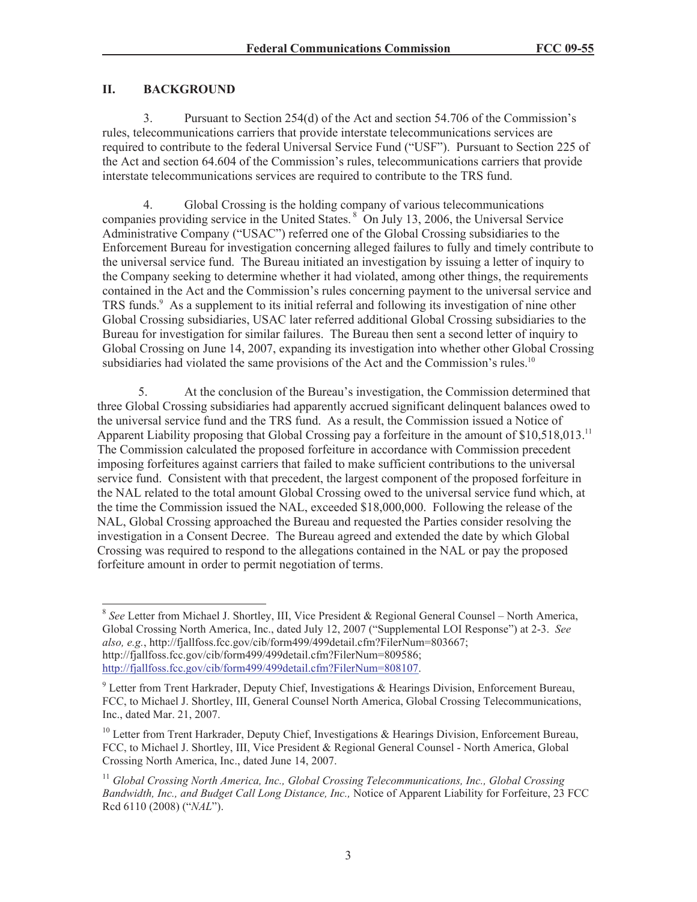# **II. BACKGROUND**

3. Pursuant to Section 254(d) of the Act and section 54.706 of the Commission's rules, telecommunications carriers that provide interstate telecommunications services are required to contribute to the federal Universal Service Fund ("USF"). Pursuant to Section 225 of the Act and section 64.604 of the Commission's rules, telecommunications carriers that provide interstate telecommunications services are required to contribute to the TRS fund.

4. Global Crossing is the holding company of various telecommunications companies providing service in the United States. <sup>8</sup> On July 13, 2006, the Universal Service Administrative Company ("USAC") referred one of the Global Crossing subsidiaries to the Enforcement Bureau for investigation concerning alleged failures to fully and timely contribute to the universal service fund. The Bureau initiated an investigation by issuing a letter of inquiry to the Company seeking to determine whether it had violated, among other things, the requirements contained in the Act and the Commission's rules concerning payment to the universal service and TRS funds.<sup>9</sup> As a supplement to its initial referral and following its investigation of nine other Global Crossing subsidiaries, USAC later referred additional Global Crossing subsidiaries to the Bureau for investigation for similar failures. The Bureau then sent a second letter of inquiry to Global Crossing on June 14, 2007, expanding its investigation into whether other Global Crossing subsidiaries had violated the same provisions of the Act and the Commission's rules.<sup>10</sup>

5. At the conclusion of the Bureau's investigation, the Commission determined that three Global Crossing subsidiaries had apparently accrued significant delinquent balances owed to the universal service fund and the TRS fund. As a result, the Commission issued a Notice of Apparent Liability proposing that Global Crossing pay a forfeiture in the amount of \$10,518,013.<sup>11</sup> The Commission calculated the proposed forfeiture in accordance with Commission precedent imposing forfeitures against carriers that failed to make sufficient contributions to the universal service fund. Consistent with that precedent, the largest component of the proposed forfeiture in the NAL related to the total amount Global Crossing owed to the universal service fund which, at the time the Commission issued the NAL, exceeded \$18,000,000. Following the release of the NAL, Global Crossing approached the Bureau and requested the Parties consider resolving the investigation in a Consent Decree. The Bureau agreed and extended the date by which Global Crossing was required to respond to the allegations contained in the NAL or pay the proposed forfeiture amount in order to permit negotiation of terms.

<sup>&</sup>lt;sup>8</sup> See Letter from Michael J. Shortley, III, Vice President & Regional General Counsel – North America, Global Crossing North America, Inc., dated July 12, 2007 ("Supplemental LOI Response") at 2-3. *See also, e.g.*, http://fjallfoss.fcc.gov/cib/form499/499detail.cfm?FilerNum=803667; http://fjallfoss.fcc.gov/cib/form499/499detail.cfm?FilerNum=809586; http://fjallfoss.fcc.gov/cib/form499/499detail.cfm?FilerNum=808107.

 $9$  Letter from Trent Harkrader, Deputy Chief, Investigations & Hearings Division, Enforcement Bureau, FCC, to Michael J. Shortley, III, General Counsel North America, Global Crossing Telecommunications, Inc., dated Mar. 21, 2007.

<sup>&</sup>lt;sup>10</sup> Letter from Trent Harkrader, Deputy Chief, Investigations & Hearings Division, Enforcement Bureau, FCC, to Michael J. Shortley, III, Vice President & Regional General Counsel - North America, Global Crossing North America, Inc., dated June 14, 2007.

<sup>11</sup> *Global Crossing North America, Inc., Global Crossing Telecommunications, Inc., Global Crossing Bandwidth, Inc., and Budget Call Long Distance, Inc.,* Notice of Apparent Liability for Forfeiture, 23 FCC Rcd 6110 (2008) ("*NAL*").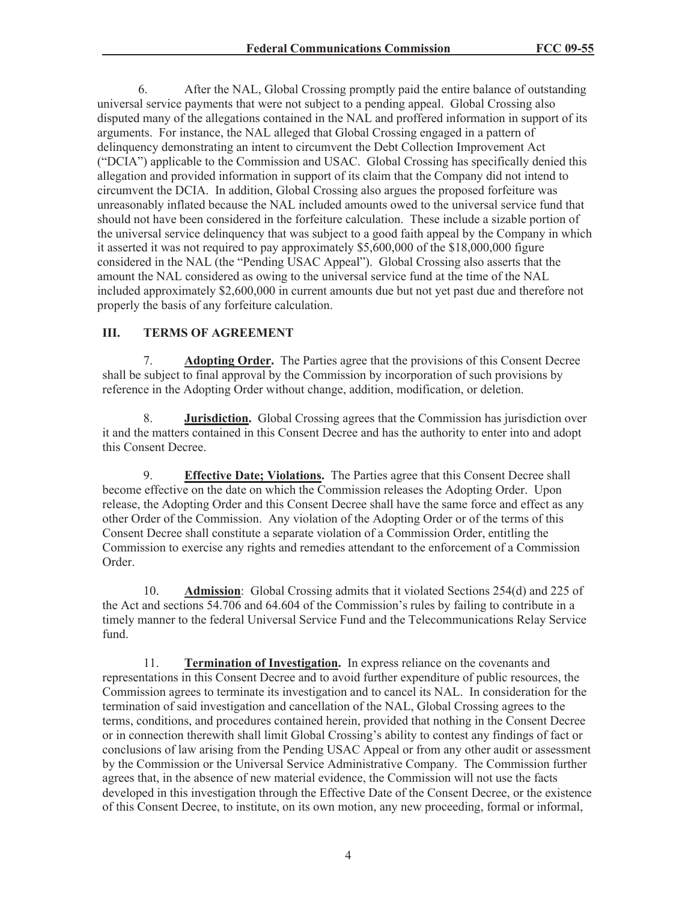6. After the NAL, Global Crossing promptly paid the entire balance of outstanding universal service payments that were not subject to a pending appeal. Global Crossing also disputed many of the allegations contained in the NAL and proffered information in support of its arguments. For instance, the NAL alleged that Global Crossing engaged in a pattern of delinquency demonstrating an intent to circumvent the Debt Collection Improvement Act ("DCIA") applicable to the Commission and USAC. Global Crossing has specifically denied this allegation and provided information in support of its claim that the Company did not intend to circumvent the DCIA. In addition, Global Crossing also argues the proposed forfeiture was unreasonably inflated because the NAL included amounts owed to the universal service fund that should not have been considered in the forfeiture calculation. These include a sizable portion of the universal service delinquency that was subject to a good faith appeal by the Company in which it asserted it was not required to pay approximately \$5,600,000 of the \$18,000,000 figure considered in the NAL (the "Pending USAC Appeal"). Global Crossing also asserts that the amount the NAL considered as owing to the universal service fund at the time of the NAL included approximately \$2,600,000 in current amounts due but not yet past due and therefore not properly the basis of any forfeiture calculation.

# **III. TERMS OF AGREEMENT**

7. **Adopting Order.** The Parties agree that the provisions of this Consent Decree shall be subject to final approval by the Commission by incorporation of such provisions by reference in the Adopting Order without change, addition, modification, or deletion.

8. **Jurisdiction.** Global Crossing agrees that the Commission has jurisdiction over it and the matters contained in this Consent Decree and has the authority to enter into and adopt this Consent Decree.

9. **Effective Date; Violations.** The Parties agree that this Consent Decree shall become effective on the date on which the Commission releases the Adopting Order. Upon release, the Adopting Order and this Consent Decree shall have the same force and effect as any other Order of the Commission. Any violation of the Adopting Order or of the terms of this Consent Decree shall constitute a separate violation of a Commission Order, entitling the Commission to exercise any rights and remedies attendant to the enforcement of a Commission Order.

10. **Admission**: Global Crossing admits that it violated Sections 254(d) and 225 of the Act and sections 54.706 and 64.604 of the Commission's rules by failing to contribute in a timely manner to the federal Universal Service Fund and the Telecommunications Relay Service fund.

11. **Termination of Investigation.** In express reliance on the covenants and representations in this Consent Decree and to avoid further expenditure of public resources, the Commission agrees to terminate its investigation and to cancel its NAL. In consideration for the termination of said investigation and cancellation of the NAL, Global Crossing agrees to the terms, conditions, and procedures contained herein, provided that nothing in the Consent Decree or in connection therewith shall limit Global Crossing's ability to contest any findings of fact or conclusions of law arising from the Pending USAC Appeal or from any other audit or assessment by the Commission or the Universal Service Administrative Company. The Commission further agrees that, in the absence of new material evidence, the Commission will not use the facts developed in this investigation through the Effective Date of the Consent Decree, or the existence of this Consent Decree, to institute, on its own motion, any new proceeding, formal or informal,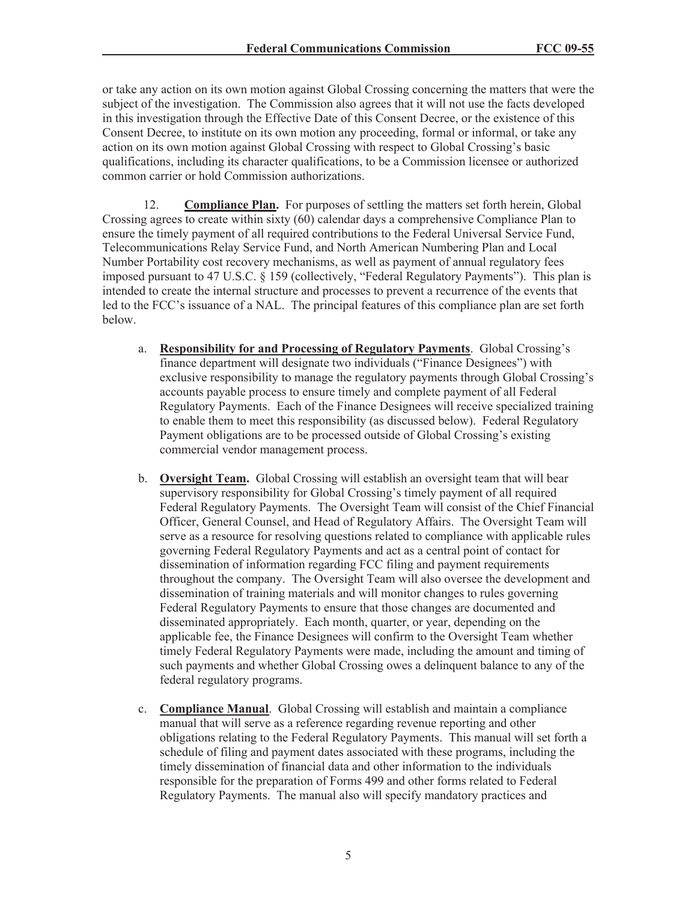or take any action on its own motion against Global Crossing concerning the matters that were the subject of the investigation. The Commission also agrees that it will not use the facts developed in this investigation through the Effective Date of this Consent Decree, or the existence of this Consent Decree, to institute on its own motion any proceeding, formal or informal, or take any action on its own motion against Global Crossing with respect to Global Crossing's basic qualifications, including its character qualifications, to be a Commission licensee or authorized common carrier or hold Commission authorizations.

12. **Compliance Plan.** For purposes of settling the matters set forth herein, Global Crossing agrees to create within sixty (60) calendar days a comprehensive Compliance Plan to ensure the timely payment of all required contributions to the Federal Universal Service Fund, Telecommunications Relay Service Fund, and North American Numbering Plan and Local Number Portability cost recovery mechanisms, as well as payment of annual regulatory fees imposed pursuant to 47 U.S.C. § 159 (collectively, "Federal Regulatory Payments"). This plan is intended to create the internal structure and processes to prevent a recurrence of the events that led to the FCC's issuance of a NAL. The principal features of this compliance plan are set forth below.

- a. **Responsibility for and Processing of Regulatory Payments**. Global Crossing's finance department will designate two individuals ("Finance Designees") with exclusive responsibility to manage the regulatory payments through Global Crossing's accounts payable process to ensure timely and complete payment of all Federal Regulatory Payments. Each of the Finance Designees will receive specialized training to enable them to meet this responsibility (as discussed below). Federal Regulatory Payment obligations are to be processed outside of Global Crossing's existing commercial vendor management process.
- b. **Oversight Team.** Global Crossing will establish an oversight team that will bear supervisory responsibility for Global Crossing's timely payment of all required Federal Regulatory Payments. The Oversight Team will consist of the Chief Financial Officer, General Counsel, and Head of Regulatory Affairs. The Oversight Team will serve as a resource for resolving questions related to compliance with applicable rules governing Federal Regulatory Payments and act as a central point of contact for dissemination of information regarding FCC filing and payment requirements throughout the company. The Oversight Team will also oversee the development and dissemination of training materials and will monitor changes to rules governing Federal Regulatory Payments to ensure that those changes are documented and disseminated appropriately. Each month, quarter, or year, depending on the applicable fee, the Finance Designees will confirm to the Oversight Team whether timely Federal Regulatory Payments were made, including the amount and timing of such payments and whether Global Crossing owes a delinquent balance to any of the federal regulatory programs.
- c. **Compliance Manual**. Global Crossing will establish and maintain a compliance manual that will serve as a reference regarding revenue reporting and other obligations relating to the Federal Regulatory Payments. This manual will set forth a schedule of filing and payment dates associated with these programs, including the timely dissemination of financial data and other information to the individuals responsible for the preparation of Forms 499 and other forms related to Federal Regulatory Payments. The manual also will specify mandatory practices and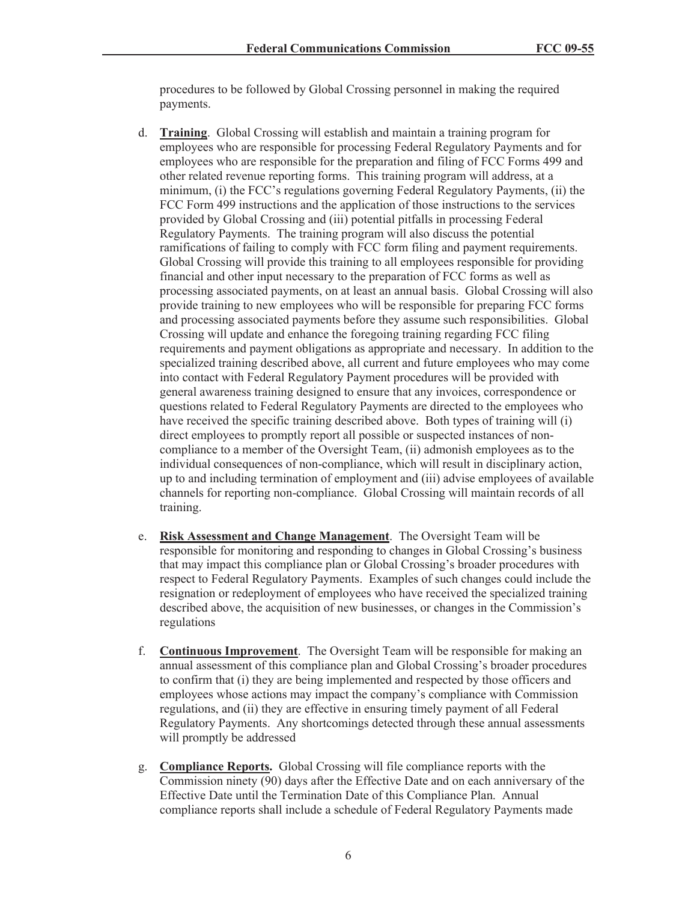procedures to be followed by Global Crossing personnel in making the required payments.

- d. **Training**. Global Crossing will establish and maintain a training program for employees who are responsible for processing Federal Regulatory Payments and for employees who are responsible for the preparation and filing of FCC Forms 499 and other related revenue reporting forms. This training program will address, at a minimum, (i) the FCC's regulations governing Federal Regulatory Payments, (ii) the FCC Form 499 instructions and the application of those instructions to the services provided by Global Crossing and (iii) potential pitfalls in processing Federal Regulatory Payments. The training program will also discuss the potential ramifications of failing to comply with FCC form filing and payment requirements. Global Crossing will provide this training to all employees responsible for providing financial and other input necessary to the preparation of FCC forms as well as processing associated payments, on at least an annual basis. Global Crossing will also provide training to new employees who will be responsible for preparing FCC forms and processing associated payments before they assume such responsibilities. Global Crossing will update and enhance the foregoing training regarding FCC filing requirements and payment obligations as appropriate and necessary. In addition to the specialized training described above, all current and future employees who may come into contact with Federal Regulatory Payment procedures will be provided with general awareness training designed to ensure that any invoices, correspondence or questions related to Federal Regulatory Payments are directed to the employees who have received the specific training described above. Both types of training will (i) direct employees to promptly report all possible or suspected instances of noncompliance to a member of the Oversight Team, (ii) admonish employees as to the individual consequences of non-compliance, which will result in disciplinary action, up to and including termination of employment and (iii) advise employees of available channels for reporting non-compliance. Global Crossing will maintain records of all training.
- e. **Risk Assessment and Change Management**. The Oversight Team will be responsible for monitoring and responding to changes in Global Crossing's business that may impact this compliance plan or Global Crossing's broader procedures with respect to Federal Regulatory Payments. Examples of such changes could include the resignation or redeployment of employees who have received the specialized training described above, the acquisition of new businesses, or changes in the Commission's regulations
- f. **Continuous Improvement**. The Oversight Team will be responsible for making an annual assessment of this compliance plan and Global Crossing's broader procedures to confirm that (i) they are being implemented and respected by those officers and employees whose actions may impact the company's compliance with Commission regulations, and (ii) they are effective in ensuring timely payment of all Federal Regulatory Payments. Any shortcomings detected through these annual assessments will promptly be addressed
- g. **Compliance Reports.** Global Crossing will file compliance reports with the Commission ninety (90) days after the Effective Date and on each anniversary of the Effective Date until the Termination Date of this Compliance Plan. Annual compliance reports shall include a schedule of Federal Regulatory Payments made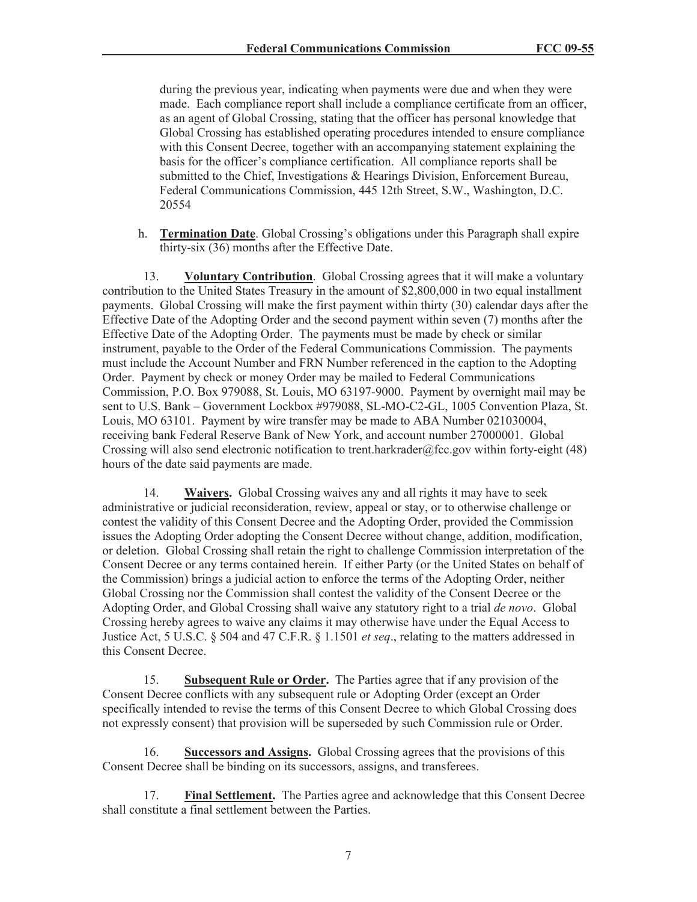during the previous year, indicating when payments were due and when they were made. Each compliance report shall include a compliance certificate from an officer, as an agent of Global Crossing, stating that the officer has personal knowledge that Global Crossing has established operating procedures intended to ensure compliance with this Consent Decree, together with an accompanying statement explaining the basis for the officer's compliance certification. All compliance reports shall be submitted to the Chief, Investigations & Hearings Division, Enforcement Bureau, Federal Communications Commission, 445 12th Street, S.W., Washington, D.C. 20554

h. **Termination Date**. Global Crossing's obligations under this Paragraph shall expire thirty-six (36) months after the Effective Date.

13. **Voluntary Contribution**. Global Crossing agrees that it will make a voluntary contribution to the United States Treasury in the amount of \$2,800,000 in two equal installment payments. Global Crossing will make the first payment within thirty (30) calendar days after the Effective Date of the Adopting Order and the second payment within seven (7) months after the Effective Date of the Adopting Order. The payments must be made by check or similar instrument, payable to the Order of the Federal Communications Commission. The payments must include the Account Number and FRN Number referenced in the caption to the Adopting Order. Payment by check or money Order may be mailed to Federal Communications Commission, P.O. Box 979088, St. Louis, MO 63197-9000. Payment by overnight mail may be sent to U.S. Bank – Government Lockbox #979088, SL-MO-C2-GL, 1005 Convention Plaza, St. Louis, MO 63101. Payment by wire transfer may be made to ABA Number 021030004, receiving bank Federal Reserve Bank of New York, and account number 27000001. Global Crossing will also send electronic notification to trent.harkrader@fcc.gov within forty-eight (48) hours of the date said payments are made.

14. **Waivers.** Global Crossing waives any and all rights it may have to seek administrative or judicial reconsideration, review, appeal or stay, or to otherwise challenge or contest the validity of this Consent Decree and the Adopting Order, provided the Commission issues the Adopting Order adopting the Consent Decree without change, addition, modification, or deletion. Global Crossing shall retain the right to challenge Commission interpretation of the Consent Decree or any terms contained herein. If either Party (or the United States on behalf of the Commission) brings a judicial action to enforce the terms of the Adopting Order, neither Global Crossing nor the Commission shall contest the validity of the Consent Decree or the Adopting Order, and Global Crossing shall waive any statutory right to a trial *de novo*. Global Crossing hereby agrees to waive any claims it may otherwise have under the Equal Access to Justice Act, 5 U.S.C. § 504 and 47 C.F.R. § 1.1501 *et seq*., relating to the matters addressed in this Consent Decree.

15. **Subsequent Rule or Order.** The Parties agree that if any provision of the Consent Decree conflicts with any subsequent rule or Adopting Order (except an Order specifically intended to revise the terms of this Consent Decree to which Global Crossing does not expressly consent) that provision will be superseded by such Commission rule or Order.

16. **Successors and Assigns.** Global Crossing agrees that the provisions of this Consent Decree shall be binding on its successors, assigns, and transferees.

17. **Final Settlement.** The Parties agree and acknowledge that this Consent Decree shall constitute a final settlement between the Parties.